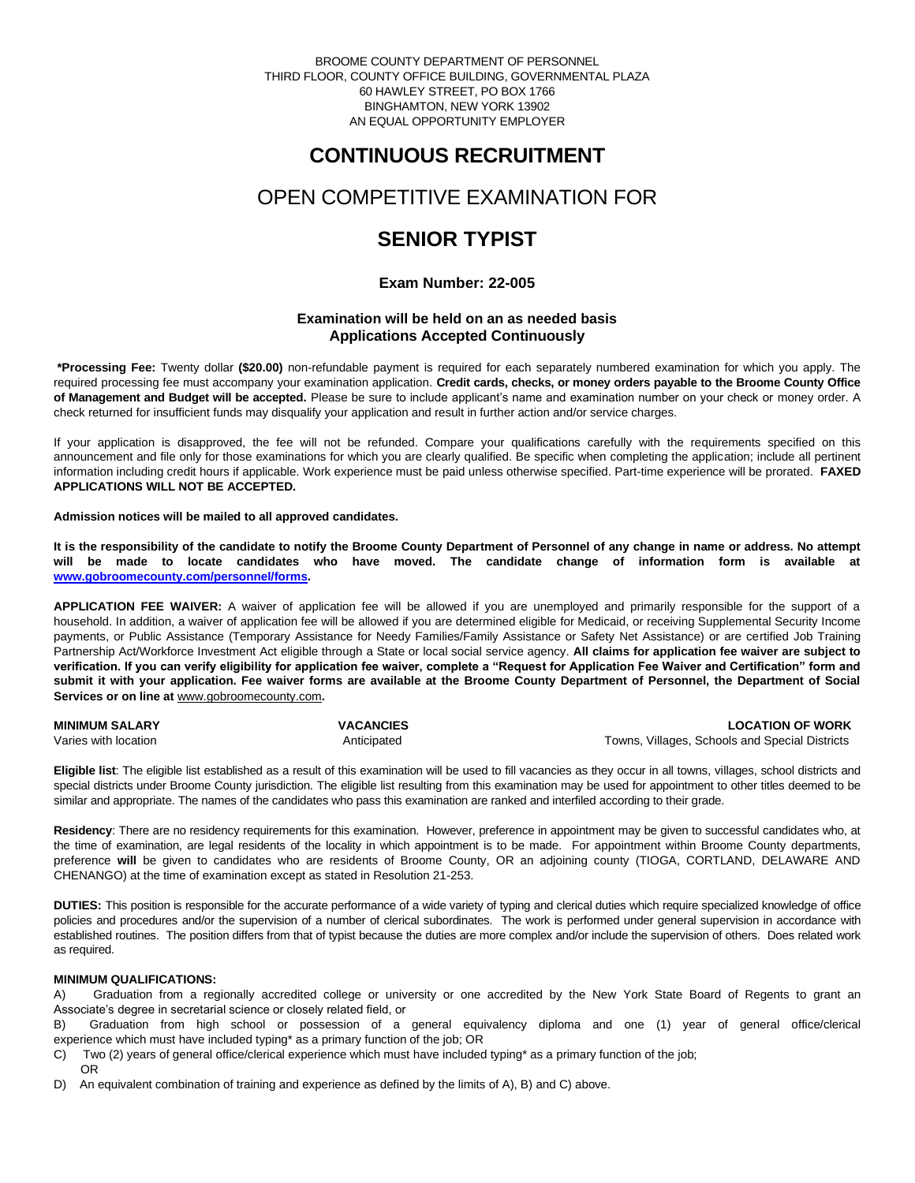BROOME COUNTY DEPARTMENT OF PERSONNEL THIRD FLOOR, COUNTY OFFICE BUILDING, GOVERNMENTAL PLAZA 60 HAWLEY STREET, PO BOX 1766 BINGHAMTON, NEW YORK 13902 AN EQUAL OPPORTUNITY EMPLOYER

# **CONTINUOUS RECRUITMENT**

# OPEN COMPETITIVE EXAMINATION FOR

# **SENIOR TYPIST**

## **Exam Number: 22-005**

## **Examination will be held on an as needed basis Applications Accepted Continuously**

**\*Processing Fee:** Twenty dollar **(\$20.00)** non-refundable payment is required for each separately numbered examination for which you apply. The required processing fee must accompany your examination application. **Credit cards, checks, or money orders payable to the Broome County Office of Management and Budget will be accepted.** Please be sure to include applicant's name and examination number on your check or money order. A check returned for insufficient funds may disqualify your application and result in further action and/or service charges.

If your application is disapproved, the fee will not be refunded. Compare your qualifications carefully with the requirements specified on this announcement and file only for those examinations for which you are clearly qualified. Be specific when completing the application; include all pertinent information including credit hours if applicable. Work experience must be paid unless otherwise specified. Part-time experience will be prorated. **FAXED APPLICATIONS WILL NOT BE ACCEPTED.** 

### **Admission notices will be mailed to all approved candidates.**

**It is the responsibility of the candidate to notify the Broome County Department of Personnel of any change in name or address. No attempt will be made to locate candidates who have moved. The candidate change of information form is available at [www.gobroomecounty.com/personnel/forms.](http://www.gobroomecounty.com/personnel/forms)** 

**APPLICATION FEE WAIVER:** A waiver of application fee will be allowed if you are unemployed and primarily responsible for the support of a household. In addition, a waiver of application fee will be allowed if you are determined eligible for Medicaid, or receiving Supplemental Security Income payments, or Public Assistance (Temporary Assistance for Needy Families/Family Assistance or Safety Net Assistance) or are certified Job Training Partnership Act/Workforce Investment Act eligible through a State or local social service agency. **All claims for application fee waiver are subject to verification. If you can verify eligibility for application fee waiver, complete a "Request for Application Fee Waiver and Certification" form and submit it with your application. Fee waiver forms are available at the Broome County Department of Personnel, the Department of Social Services or on line at** www.gobroomecounty.com**.** 

| <b>MINIMUM SALARY</b> | <b>VACANCIES</b> | <b>LOCATION OF WORK</b>                        |
|-----------------------|------------------|------------------------------------------------|
| Varies with location  | Anticipated      | Towns, Villages, Schools and Special Districts |

**Eligible list**: The eligible list established as a result of this examination will be used to fill vacancies as they occur in all towns, villages, school districts and special districts under Broome County jurisdiction. The eligible list resulting from this examination may be used for appointment to other titles deemed to be similar and appropriate. The names of the candidates who pass this examination are ranked and interfiled according to their grade.

**Residency**: There are no residency requirements for this examination. However, preference in appointment may be given to successful candidates who, at the time of examination, are legal residents of the locality in which appointment is to be made. For appointment within Broome County departments, preference **will** be given to candidates who are residents of Broome County, OR an adjoining county (TIOGA, CORTLAND, DELAWARE AND CHENANGO) at the time of examination except as stated in Resolution 21-253.

**DUTIES:** This position is responsible for the accurate performance of a wide variety of typing and clerical duties which require specialized knowledge of office policies and procedures and/or the supervision of a number of clerical subordinates. The work is performed under general supervision in accordance with established routines. The position differs from that of typist because the duties are more complex and/or include the supervision of others. Does related work as required.

### **MINIMUM QUALIFICATIONS:**

A) Graduation from a regionally accredited college or university or one accredited by the New York State Board of Regents to grant an Associate's degree in secretarial science or closely related field, or

B) Graduation from high school or possession of a general equivalency diploma and one (1) year of general office/clerical experience which must have included typing\* as a primary function of the job; OR

- C) Two (2) years of general office/clerical experience which must have included typing\* as a primary function of the job; OR
- D) An equivalent combination of training and experience as defined by the limits of A), B) and C) above.